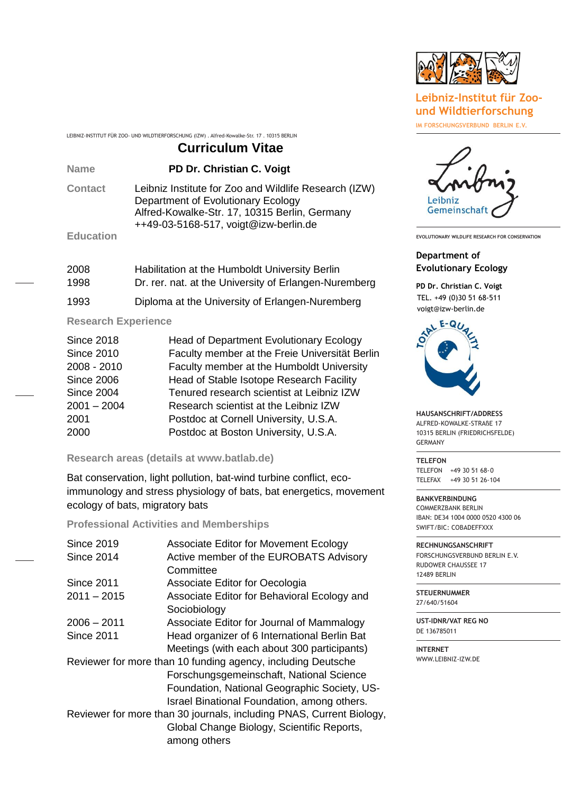

## **Leibniz-Institut für Zoound Wildtierforschung**

**IM FORSCHUNGSVERBUND BERLIN E.V.**

#### LEIBNIZ-INSTITUT FÜR ZOO- UND WILDTIERFORSCHUNG (IZW) . Alfred-Kowalke-Str. 17 . 10315 BERLIN

# **Curriculum Vitae**

**Name PD Dr. Christian C. Voigt**

**Contact** Leibniz Institute for Zoo and Wildlife Research (IZW) Department of Evolutionary Ecology Alfred-Kowalke-Str. 17, 10315 Berlin, Germany ++49-03-5168-517, voigt@izw-berlin.de

# **Education**

| 2008 | Habilitation at the Humboldt University Berlin        |
|------|-------------------------------------------------------|
| 1998 | Dr. rer. nat. at the University of Erlangen-Nuremberg |
| 1993 | Diploma at the University of Erlangen-Nuremberg       |

### **Research Experience**

| <b>Since 2018</b> | <b>Head of Department Evolutionary Ecology</b> |
|-------------------|------------------------------------------------|
| <b>Since 2010</b> | Faculty member at the Freie Universität Berlin |
| 2008 - 2010       | Faculty member at the Humboldt University      |
| <b>Since 2006</b> | Head of Stable Isotope Research Facility       |
| <b>Since 2004</b> | Tenured research scientist at Leibniz IZW      |
| $2001 - 2004$     | Research scientist at the Leibniz IZW          |
| 2001              | Postdoc at Cornell University, U.S.A.          |
| 2000              | Postdoc at Boston University, U.S.A.           |

#### **Research areas (details at www.batlab.de)**

Bat conservation, light pollution, bat-wind turbine conflict, ecoimmunology and stress physiology of bats, bat energetics, movement ecology of bats, migratory bats

#### **Professional Activities and Memberships**

| Since 2019                                                           | Associate Editor for Movement Ecology        |  |
|----------------------------------------------------------------------|----------------------------------------------|--|
| <b>Since 2014</b>                                                    | Active member of the EUROBATS Advisory       |  |
|                                                                      | Committee                                    |  |
| Since 2011                                                           | Associate Editor for Oecologia               |  |
| $2011 - 2015$                                                        | Associate Editor for Behavioral Ecology and  |  |
|                                                                      | Sociobiology                                 |  |
| $2006 - 2011$                                                        | Associate Editor for Journal of Mammalogy    |  |
| Since 2011                                                           | Head organizer of 6 International Berlin Bat |  |
|                                                                      | Meetings (with each about 300 participants)  |  |
| Reviewer for more than 10 funding agency, including Deutsche         |                                              |  |
|                                                                      | Forschungsgemeinschaft, National Science     |  |
|                                                                      | Foundation, National Geographic Society, US- |  |
|                                                                      | Israel Binational Foundation, among others.  |  |
| Reviewer for more than 30 journals, including PNAS, Current Biology, |                                              |  |
|                                                                      | Global Change Biology, Scientific Reports,   |  |
|                                                                      | among others                                 |  |



**EVOLUTIONARY WILDLIFE RESEARCH FOR CONSERVATION**

#### **Department of Evolutionary Ecology**

**PD Dr. Christian C. Voigt** TEL. +49 (0)30 51 68-511 voigt@izw-berlin.de



**HAUSANSCHRIFT/ADDRESS** ALFRED-KOWALKE-STRAßE 17 10315 BERLIN (FRIEDRICHSFELDE) GERMANY

**TELEFON** TELEFON +49 30 51 68-0 TELEFAX +49 30 51 26-104

**BANKVERBINDUNG** COMMERZBANK BERLIN IBAN: DE34 1004 0000 0520 4300 06 SWIFT/BIC: COBADEFFXXX

**RECHNUNGSANSCHRIFT**  FORSCHUNGSVERBUND BERLIN E.V. RUDOWER CHAUSSEE 17 12489 BERLIN

**STEUERNUMMER** 27/640/51604

**UST-IDNR/VAT REG NO** DE 136785011

**INTERNET** [WWW.LEIBNIZ-IZW.DE](http://www.leibniz-izw.de/)